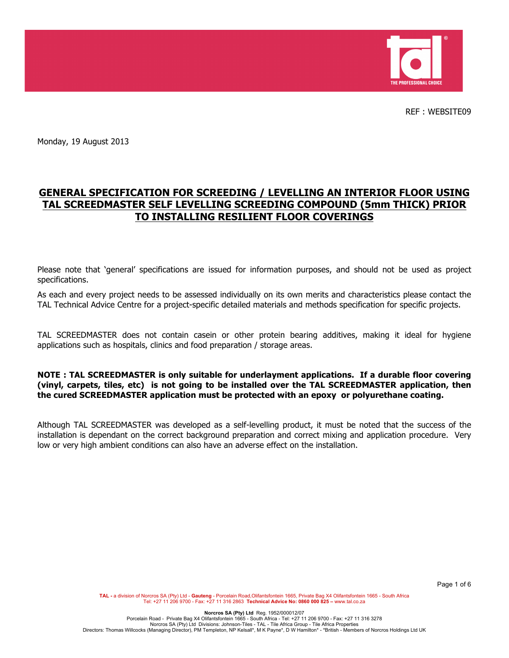

REF : WEBSITE09

Monday, 19 August 2013

# **GENERAL SPECIFICATION FOR SCREEDING / LEVELLING AN INTERIOR FLOOR USING TAL SCREEDMASTER SELF LEVELLING SCREEDING COMPOUND (5mm THICK) PRIOR TO INSTALLING RESILIENT FLOOR COVERINGS**

Please note that 'general' specifications are issued for information purposes, and should not be used as project specifications.

As each and every project needs to be assessed individually on its own merits and characteristics please contact the TAL Technical Advice Centre for a project-specific detailed materials and methods specification for specific projects.

TAL SCREEDMASTER does not contain casein or other protein bearing additives, making it ideal for hygiene applications such as hospitals, clinics and food preparation / storage areas.

### **NOTE : TAL SCREEDMASTER is only suitable for underlayment applications. If a durable floor covering (vinyl, carpets, tiles, etc) is not going to be installed over the TAL SCREEDMASTER application, then the cured SCREEDMASTER application must be protected with an epoxy or polyurethane coating.**

Although TAL SCREEDMASTER was developed as a self-levelling product, it must be noted that the success of the installation is dependant on the correct background preparation and correct mixing and application procedure. Very low or very high ambient conditions can also have an adverse effect on the installation.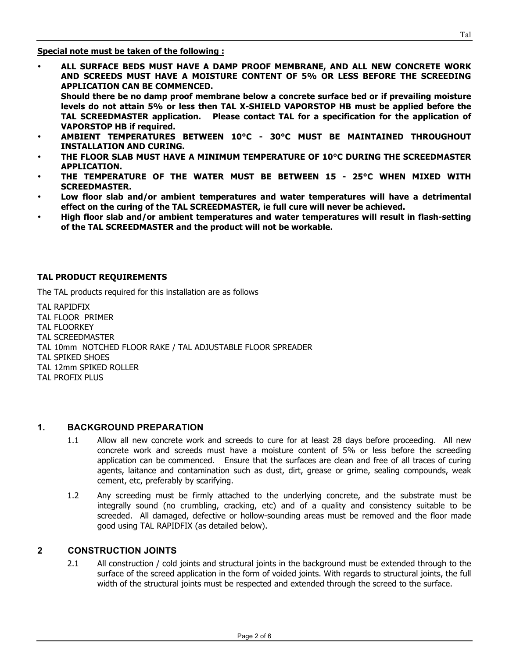**Special note must be taken of the following :**

• **ALL SURFACE BEDS MUST HAVE A DAMP PROOF MEMBRANE, AND ALL NEW CONCRETE WORK AND SCREEDS MUST HAVE A MOISTURE CONTENT OF 5% OR LESS BEFORE THE SCREEDING APPLICATION CAN BE COMMENCED.**

**Should there be no damp proof membrane below a concrete surface bed or if prevailing moisture levels do not attain 5% or less then TAL X-SHIELD VAPORSTOP HB must be applied before the TAL SCREEDMASTER application. Please contact TAL for a specification for the application of VAPORSTOP HB if required.** 

- **AMBIENT TEMPERATURES BETWEEN 10°C - 30°C MUST BE MAINTAINED THROUGHOUT INSTALLATION AND CURING.**
- **THE FLOOR SLAB MUST HAVE A MINIMUM TEMPERATURE OF 10°C DURING THE SCREEDMASTER APPLICATION.**
- **THE TEMPERATURE OF THE WATER MUST BE BETWEEN 15 - 25°C WHEN MIXED WITH SCREEDMASTER.**
- **Low floor slab and/or ambient temperatures and water temperatures will have a detrimental effect on the curing of the TAL SCREEDMASTER, ie full cure will never be achieved.**
- **High floor slab and/or ambient temperatures and water temperatures will result in flash-setting of the TAL SCREEDMASTER and the product will not be workable.**

#### **TAL PRODUCT REQUIREMENTS**

The TAL products required for this installation are as follows

TAL RAPIDFIX TAL FLOOR PRIMER TAL FLOORKEY TAL SCREEDMASTER TAL 10mm NOTCHED FLOOR RAKE / TAL ADJUSTABLE FLOOR SPREADER TAL SPIKED SHOES TAL 12mm SPIKED ROLLER TAL PROFIX PLUS

### **1. BACKGROUND PREPARATION**

- 1.1 Allow all new concrete work and screeds to cure for at least 28 days before proceeding. All new concrete work and screeds must have a moisture content of 5% or less before the screeding application can be commenced. Ensure that the surfaces are clean and free of all traces of curing agents, laitance and contamination such as dust, dirt, grease or grime, sealing compounds, weak cement, etc, preferably by scarifying.
- 1.2 Any screeding must be firmly attached to the underlying concrete, and the substrate must be integrally sound (no crumbling, cracking, etc) and of a quality and consistency suitable to be screeded. All damaged, defective or hollow-sounding areas must be removed and the floor made good using TAL RAPIDFIX (as detailed below).

#### **2 CONSTRUCTION JOINTS**

2.1 All construction / cold joints and structural joints in the background must be extended through to the surface of the screed application in the form of voided joints. With regards to structural joints, the full width of the structural joints must be respected and extended through the screed to the surface.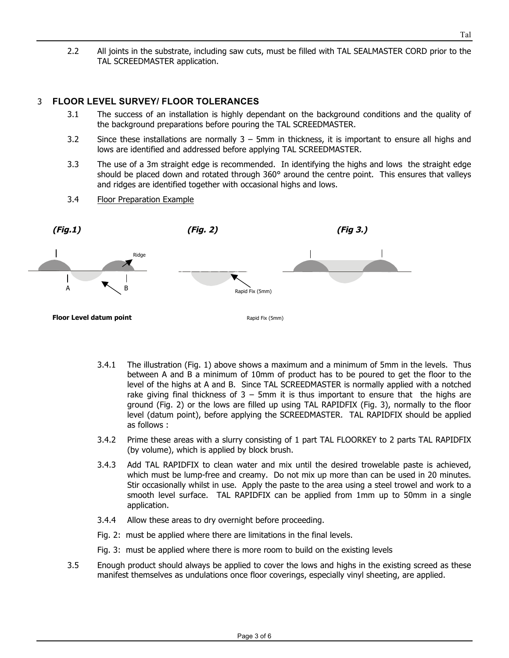2.2 All joints in the substrate, including saw cuts, must be filled with TAL SEALMASTER CORD prior to the TAL SCREEDMASTER application.

### 3 **FLOOR LEVEL SURVEY/ FLOOR TOLERANCES**

- 3.1 The success of an installation is highly dependant on the background conditions and the quality of the background preparations before pouring the TAL SCREEDMASTER.
- 3.2 Since these installations are normally 3 5mm in thickness, it is important to ensure all highs and lows are identified and addressed before applying TAL SCREEDMASTER.
- 3.3 The use of a 3m straight edge is recommended. In identifying the highs and lows the straight edge should be placed down and rotated through 360° around the centre point. This ensures that valleys and ridges are identified together with occasional highs and lows.
- 3.4 Floor Preparation Example



- 3.4.1 The illustration (Fig. 1) above shows a maximum and a minimum of 5mm in the levels. Thus between A and B a minimum of 10mm of product has to be poured to get the floor to the level of the highs at A and B. Since TAL SCREEDMASTER is normally applied with a notched rake giving final thickness of  $3 - 5$ mm it is thus important to ensure that the highs are ground (Fig. 2) or the lows are filled up using TAL RAPIDFIX (Fig. 3), normally to the floor level (datum point), before applying the SCREEDMASTER. TAL RAPIDFIX should be applied as follows :
- 3.4.2 Prime these areas with a slurry consisting of 1 part TAL FLOORKEY to 2 parts TAL RAPIDFIX (by volume), which is applied by block brush.
- 3.4.3 Add TAL RAPIDFIX to clean water and mix until the desired trowelable paste is achieved, which must be lump-free and creamy. Do not mix up more than can be used in 20 minutes. Stir occasionally whilst in use. Apply the paste to the area using a steel trowel and work to a smooth level surface. TAL RAPIDFIX can be applied from 1mm up to 50mm in a single application.
- 3.4.4 Allow these areas to dry overnight before proceeding.
- Fig. 2: must be applied where there are limitations in the final levels.
- Fig. 3: must be applied where there is more room to build on the existing levels
- 3.5 Enough product should always be applied to cover the lows and highs in the existing screed as these manifest themselves as undulations once floor coverings, especially vinyl sheeting, are applied.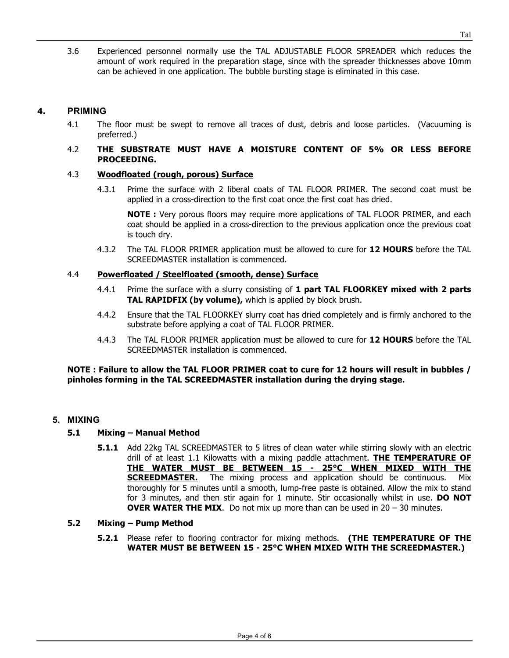3.6 Experienced personnel normally use the TAL ADJUSTABLE FLOOR SPREADER which reduces the amount of work required in the preparation stage, since with the spreader thicknesses above 10mm can be achieved in one application. The bubble bursting stage is eliminated in this case.

# **4. PRIMING**

4.1 The floor must be swept to remove all traces of dust, debris and loose particles. (Vacuuming is preferred.)

### 4.2 **THE SUBSTRATE MUST HAVE A MOISTURE CONTENT OF 5% OR LESS BEFORE PROCEEDING.**

### 4.3 **Woodfloated (rough, porous) Surface**

4.3.1 Prime the surface with 2 liberal coats of TAL FLOOR PRIMER. The second coat must be applied in a cross-direction to the first coat once the first coat has dried.

**NOTE :** Very porous floors may require more applications of TAL FLOOR PRIMER, and each coat should be applied in a cross-direction to the previous application once the previous coat is touch dry.

4.3.2 The TAL FLOOR PRIMER application must be allowed to cure for **12 HOURS** before the TAL SCREEDMASTER installation is commenced.

# 4.4 **Powerfloated / Steelfloated (smooth, dense) Surface**

- 4.4.1 Prime the surface with a slurry consisting of **1 part TAL FLOORKEY mixed with 2 parts TAL RAPIDFIX (by volume),** which is applied by block brush.
- 4.4.2 Ensure that the TAL FLOORKEY slurry coat has dried completely and is firmly anchored to the substrate before applying a coat of TAL FLOOR PRIMER.
- 4.4.3 The TAL FLOOR PRIMER application must be allowed to cure for **12 HOURS** before the TAL SCREEDMASTER installation is commenced.

### **NOTE : Failure to allow the TAL FLOOR PRIMER coat to cure for 12 hours will result in bubbles / pinholes forming in the TAL SCREEDMASTER installation during the drying stage.**

### **5. MIXING**

# **5.1 Mixing – Manual Method**

**5.1.1** Add 22kg TAL SCREEDMASTER to 5 litres of clean water while stirring slowly with an electric drill of at least 1.1 Kilowatts with a mixing paddle attachment. **THE TEMPERATURE OF THE WATER MUST BE BETWEEN 15 - 25°C WHEN MIXED WITH THE SCREEDMASTER.** The mixing process and application should be continuous. Mix thoroughly for 5 minutes until a smooth, lump-free paste is obtained. Allow the mix to stand for 3 minutes, and then stir again for 1 minute. Stir occasionally whilst in use. **DO NOT OVER WATER THE MIX.** Do not mix up more than can be used in 20 – 30 minutes.

### **5.2 Mixing – Pump Method**

**5.2.1** Please refer to flooring contractor for mixing methods. **(THE TEMPERATURE OF THE WATER MUST BE BETWEEN 15 - 25°C WHEN MIXED WITH THE SCREEDMASTER.)**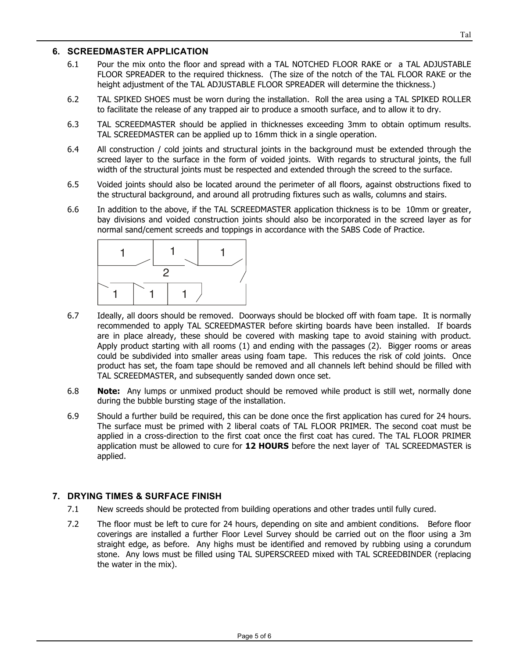### **6. SCREEDMASTER APPLICATION**

- 6.1 Pour the mix onto the floor and spread with a TAL NOTCHED FLOOR RAKE or a TAL ADJUSTABLE FLOOR SPREADER to the required thickness. (The size of the notch of the TAL FLOOR RAKE or the height adjustment of the TAL ADJUSTABLE FLOOR SPREADER will determine the thickness.)
- 6.2 TAL SPIKED SHOES must be worn during the installation. Roll the area using a TAL SPIKED ROLLER to facilitate the release of any trapped air to produce a smooth surface, and to allow it to dry.
- 6.3 TAL SCREEDMASTER should be applied in thicknesses exceeding 3mm to obtain optimum results. TAL SCREEDMASTER can be applied up to 16mm thick in a single operation.
- 6.4 All construction / cold joints and structural joints in the background must be extended through the screed layer to the surface in the form of voided joints. With regards to structural joints, the full width of the structural joints must be respected and extended through the screed to the surface.
- 6.5 Voided joints should also be located around the perimeter of all floors, against obstructions fixed to the structural background, and around all protruding fixtures such as walls, columns and stairs.
- 6.6 In addition to the above, if the TAL SCREEDMASTER application thickness is to be 10mm or greater, bay divisions and voided construction joints should also be incorporated in the screed layer as for normal sand/cement screeds and toppings in accordance with the SABS Code of Practice.



- 6.7 Ideally, all doors should be removed. Doorways should be blocked off with foam tape. It is normally recommended to apply TAL SCREEDMASTER before skirting boards have been installed. If boards are in place already, these should be covered with masking tape to avoid staining with product. Apply product starting with all rooms (1) and ending with the passages (2). Bigger rooms or areas could be subdivided into smaller areas using foam tape. This reduces the risk of cold joints. Once product has set, the foam tape should be removed and all channels left behind should be filled with TAL SCREEDMASTER, and subsequently sanded down once set.
- 6.8 **Note:** Any lumps or unmixed product should be removed while product is still wet, normally done during the bubble bursting stage of the installation.
- 6.9 Should a further build be required, this can be done once the first application has cured for 24 hours. The surface must be primed with 2 liberal coats of TAL FLOOR PRIMER. The second coat must be applied in a cross-direction to the first coat once the first coat has cured. The TAL FLOOR PRIMER application must be allowed to cure for **12 HOURS** before the next layer of TAL SCREEDMASTER is applied.

# **7. DRYING TIMES & SURFACE FINISH**

- 7.1 New screeds should be protected from building operations and other trades until fully cured.
- 7.2 The floor must be left to cure for 24 hours, depending on site and ambient conditions. Before floor coverings are installed a further Floor Level Survey should be carried out on the floor using a 3m straight edge, as before. Any highs must be identified and removed by rubbing using a corundum stone. Any lows must be filled using TAL SUPERSCREED mixed with TAL SCREEDBINDER (replacing the water in the mix).